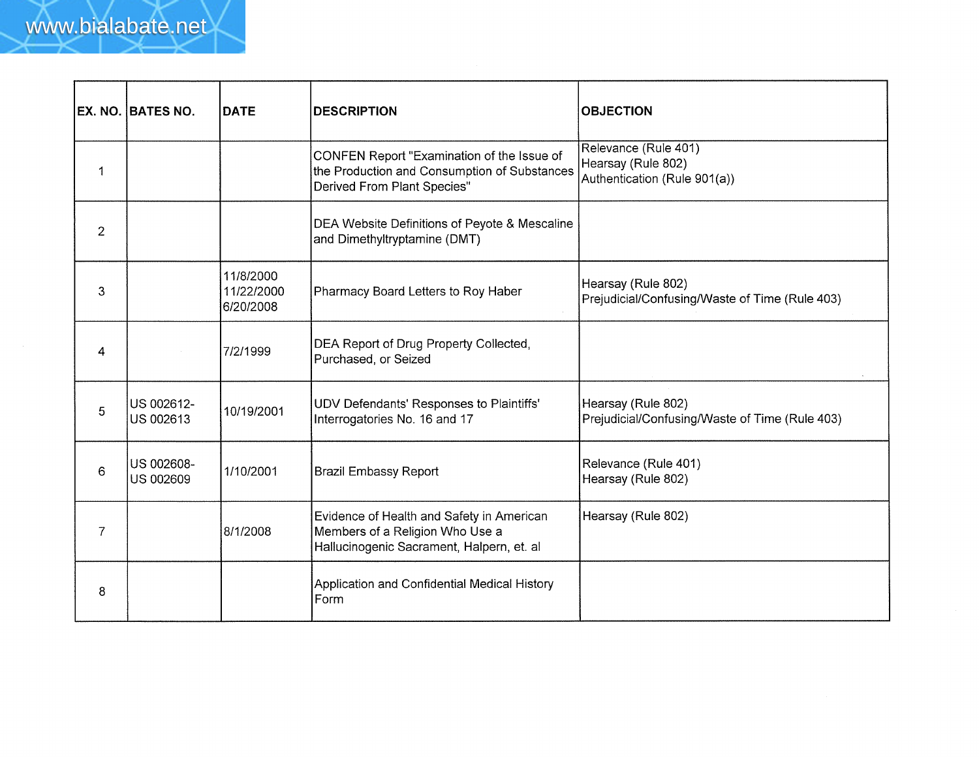|    | <b>EX. NO. BATES NO.</b> | <b>DATE</b>                          | <b>DESCRIPTION</b>                                                                                                        | <b>OBJECTION</b>                                                           |
|----|--------------------------|--------------------------------------|---------------------------------------------------------------------------------------------------------------------------|----------------------------------------------------------------------------|
| -1 |                          |                                      | CONFEN Report "Examination of the Issue of<br>the Production and Consumption of Substances<br>Derived From Plant Species" | Relevance (Rule 401)<br>Hearsay (Rule 802)<br>Authentication (Rule 901(a)) |
| 2  |                          |                                      | DEA Website Definitions of Peyote & Mescaline<br>and Dimethyltryptamine (DMT)                                             |                                                                            |
| 3  |                          | 11/8/2000<br>11/22/2000<br>6/20/2008 | Pharmacy Board Letters to Roy Haber                                                                                       | Hearsay (Rule 802)<br>Prejudicial/Confusing/Waste of Time (Rule 403)       |
| 4  |                          | 7/2/1999                             | DEA Report of Drug Property Collected,<br>Purchased, or Seized                                                            |                                                                            |
| 5  | US 002612-<br>US 002613  | 10/19/2001                           | UDV Defendants' Responses to Plaintiffs'<br>Interrogatories No. 16 and 17                                                 | Hearsay (Rule 802)<br>Prejudicial/Confusing/Waste of Time (Rule 403)       |
| 6  | US 002608-<br>US 002609  | 1/10/2001                            | <b>Brazil Embassy Report</b>                                                                                              | Relevance (Rule 401)<br>Hearsay (Rule 802)                                 |
| 7  |                          | 8/1/2008                             | Evidence of Health and Safety in American<br>Members of a Religion Who Use a<br>Hallucinogenic Sacrament, Halpern, et. al | Hearsay (Rule 802)                                                         |
| 8  |                          |                                      | Application and Confidential Medical History<br>Form                                                                      |                                                                            |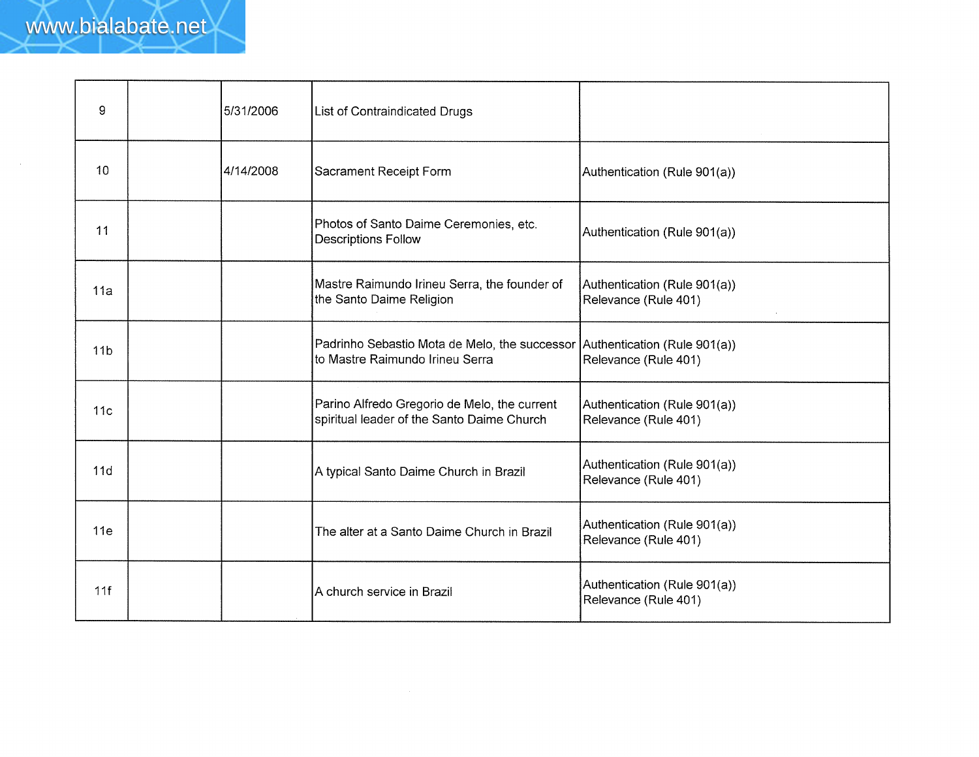$\sim$   $\sim$ 

| 9               | 5/31/2006 | List of Contraindicated Drugs                                                                                   |                                                      |
|-----------------|-----------|-----------------------------------------------------------------------------------------------------------------|------------------------------------------------------|
| 10              | 4/14/2008 | Sacrament Receipt Form                                                                                          | Authentication (Rule 901(a))                         |
| 11              |           | Photos of Santo Daime Ceremonies, etc.<br><b>Descriptions Follow</b>                                            | Authentication (Rule 901(a))                         |
| 11a             |           | Mastre Raimundo Irineu Serra, the founder of<br>the Santo Daime Religion                                        | Authentication (Rule 901(a))<br>Relevance (Rule 401) |
| 11 <sub>b</sub> |           | Padrinho Sebastio Mota de Melo, the successor   Authentication (Rule 901(a))<br>to Mastre Raimundo Irineu Serra | Relevance (Rule 401)                                 |
| 11 <sub>c</sub> |           | Parino Alfredo Gregorio de Melo, the current<br>spiritual leader of the Santo Daime Church                      | Authentication (Rule 901(a))<br>Relevance (Rule 401) |
| 11d             |           | A typical Santo Daime Church in Brazil                                                                          | Authentication (Rule 901(a))<br>Relevance (Rule 401) |
| 11e             |           | The alter at a Santo Daime Church in Brazil                                                                     | Authentication (Rule 901(a))<br>Relevance (Rule 401) |
| 11f             |           | A church service in Brazil                                                                                      | Authentication (Rule 901(a))<br>Relevance (Rule 401) |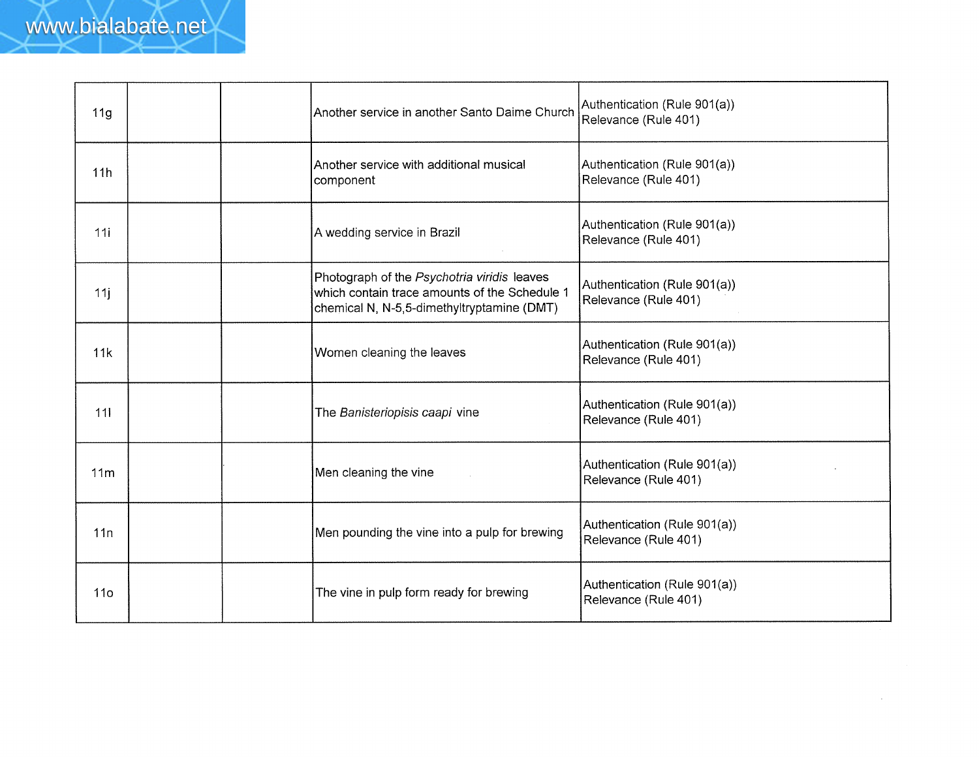| 11 <sub>g</sub> | Another service in another Santo Daime Church                                                                                              | Authentication (Rule 901(a))<br>Relevance (Rule 401) |
|-----------------|--------------------------------------------------------------------------------------------------------------------------------------------|------------------------------------------------------|
| 11h             | Another service with additional musical<br>component                                                                                       | Authentication (Rule 901(a))<br>Relevance (Rule 401) |
| 11i             | A wedding service in Brazil                                                                                                                | Authentication (Rule 901(a))<br>Relevance (Rule 401) |
| 11j             | Photograph of the Psychotria viridis leaves<br>which contain trace amounts of the Schedule 1<br>chemical N, N-5,5-dimethyltryptamine (DMT) | Authentication (Rule 901(a))<br>Relevance (Rule 401) |
| 11k             | Women cleaning the leaves                                                                                                                  | Authentication (Rule 901(a))<br>Relevance (Rule 401) |
| 111             | The Banisteriopisis caapi vine                                                                                                             | Authentication (Rule 901(a))<br>Relevance (Rule 401) |
| 11 <sub>m</sub> | Men cleaning the vine                                                                                                                      | Authentication (Rule 901(a))<br>Relevance (Rule 401) |
| 11n             | Men pounding the vine into a pulp for brewing                                                                                              | Authentication (Rule 901(a))<br>Relevance (Rule 401) |
| 11 <sub>0</sub> | The vine in pulp form ready for brewing                                                                                                    | Authentication (Rule 901(a))<br>Relevance (Rule 401) |

 $\mathcal{L}^{\pm}$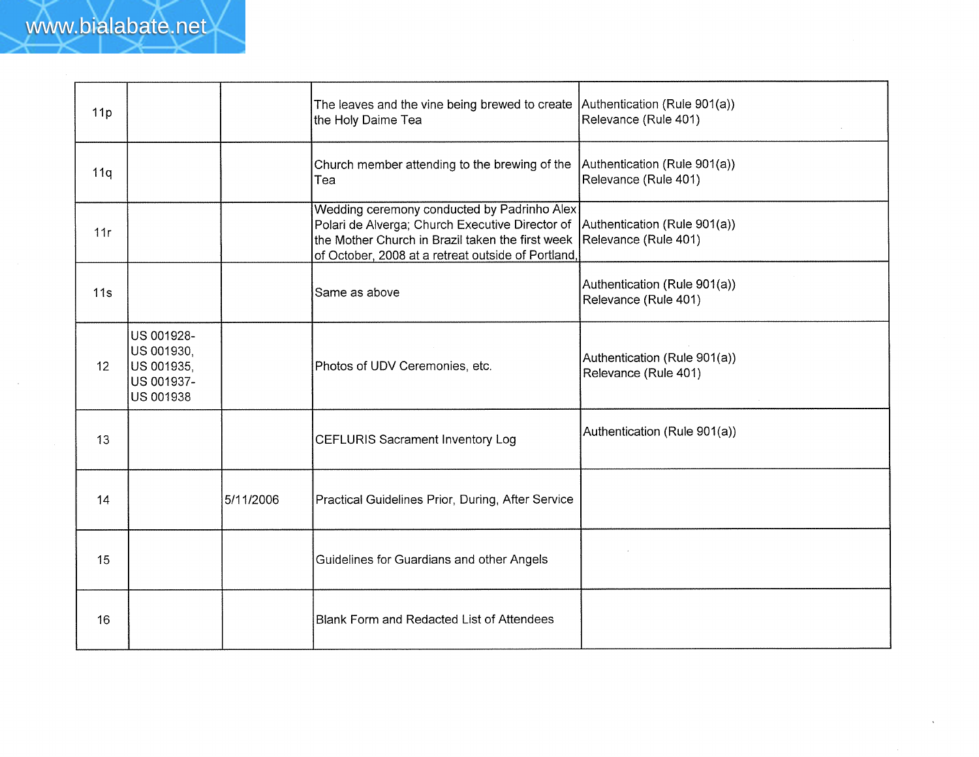| 11p |                                                                   |           | The leaves and the vine being brewed to create   Authentication (Rule 901(a))<br>the Holy Daime Tea                                                                                                                                   | Relevance (Rule 401)                                 |
|-----|-------------------------------------------------------------------|-----------|---------------------------------------------------------------------------------------------------------------------------------------------------------------------------------------------------------------------------------------|------------------------------------------------------|
| 11q |                                                                   |           | Church member attending to the brewing of the<br>Tea                                                                                                                                                                                  | Authentication (Rule 901(a))<br>Relevance (Rule 401) |
| 11r |                                                                   |           | Wedding ceremony conducted by Padrinho Alex<br>Polari de Alverga; Church Executive Director of Authentication (Rule 901(a))<br>the Mother Church in Brazil taken the first week<br>of October, 2008 at a retreat outside of Portland, | Relevance (Rule 401)                                 |
| 11s |                                                                   |           | Same as above                                                                                                                                                                                                                         | Authentication (Rule 901(a))<br>Relevance (Rule 401) |
| 12  | US 001928-<br>US 001930,<br>US 001935,<br>US 001937-<br>US 001938 |           | Photos of UDV Ceremonies, etc.                                                                                                                                                                                                        | Authentication (Rule 901(a))<br>Relevance (Rule 401) |
| 13  |                                                                   |           | <b>CEFLURIS Sacrament Inventory Log</b>                                                                                                                                                                                               | Authentication (Rule 901(a))                         |
| 14  |                                                                   | 5/11/2006 | Practical Guidelines Prior, During, After Service                                                                                                                                                                                     |                                                      |
| 15  |                                                                   |           | Guidelines for Guardians and other Angels                                                                                                                                                                                             |                                                      |
| 16  |                                                                   |           | Blank Form and Redacted List of Attendees                                                                                                                                                                                             |                                                      |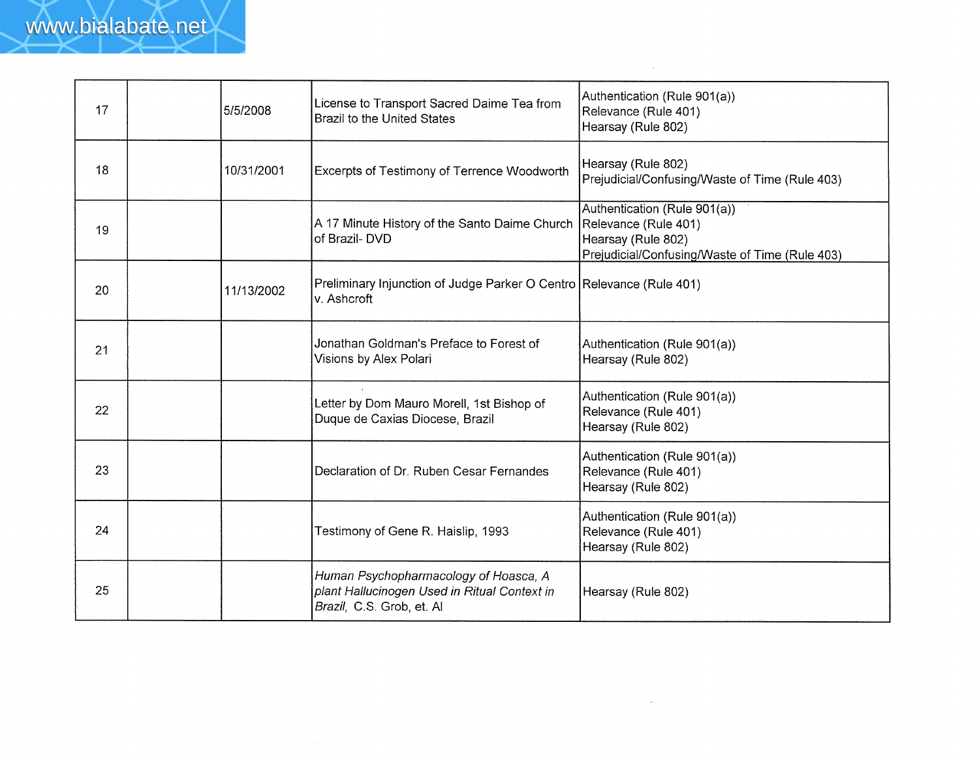| 17 | 5/5/2008   | License to Transport Sacred Daime Tea from<br><b>Brazil to the United States</b>                                   | Authentication (Rule 901(a))<br>Relevance (Rule 401)<br>Hearsay (Rule 802)                                                   |
|----|------------|--------------------------------------------------------------------------------------------------------------------|------------------------------------------------------------------------------------------------------------------------------|
| 18 | 10/31/2001 | Excerpts of Testimony of Terrence Woodworth                                                                        | Hearsay (Rule 802)<br>Prejudicial/Confusing/Waste of Time (Rule 403)                                                         |
| 19 |            | A 17 Minute History of the Santo Daime Church<br>of Brazil-DVD                                                     | Authentication (Rule 901(a))<br>Relevance (Rule 401)<br>Hearsay (Rule 802)<br>Prejudicial/Confusing/Waste of Time (Rule 403) |
| 20 | 11/13/2002 | Preliminary Injunction of Judge Parker O Centro Relevance (Rule 401)<br>v. Ashcroft                                |                                                                                                                              |
| 21 |            | Jonathan Goldman's Preface to Forest of<br>Visions by Alex Polari                                                  | Authentication (Rule 901(a))<br>Hearsay (Rule 802)                                                                           |
| 22 |            | Letter by Dom Mauro Morell, 1st Bishop of<br>Duque de Caxias Diocese, Brazil                                       | Authentication (Rule 901(a))<br>Relevance (Rule 401)<br>Hearsay (Rule 802)                                                   |
| 23 |            | Declaration of Dr. Ruben Cesar Fernandes                                                                           | Authentication (Rule 901(a))<br>Relevance (Rule 401)<br>Hearsay (Rule 802)                                                   |
| 24 |            | Testimony of Gene R. Haislip, 1993                                                                                 | Authentication (Rule 901(a))<br>Relevance (Rule 401)<br>Hearsay (Rule 802)                                                   |
| 25 |            | Human Psychopharmacology of Hoasca, A<br>plant Hallucinogen Used in Ritual Context in<br>Brazil, C.S. Grob, et. Al | Hearsay (Rule 802)                                                                                                           |

 $\sim$   $\sim$ 

 $\sim 10^{-1}$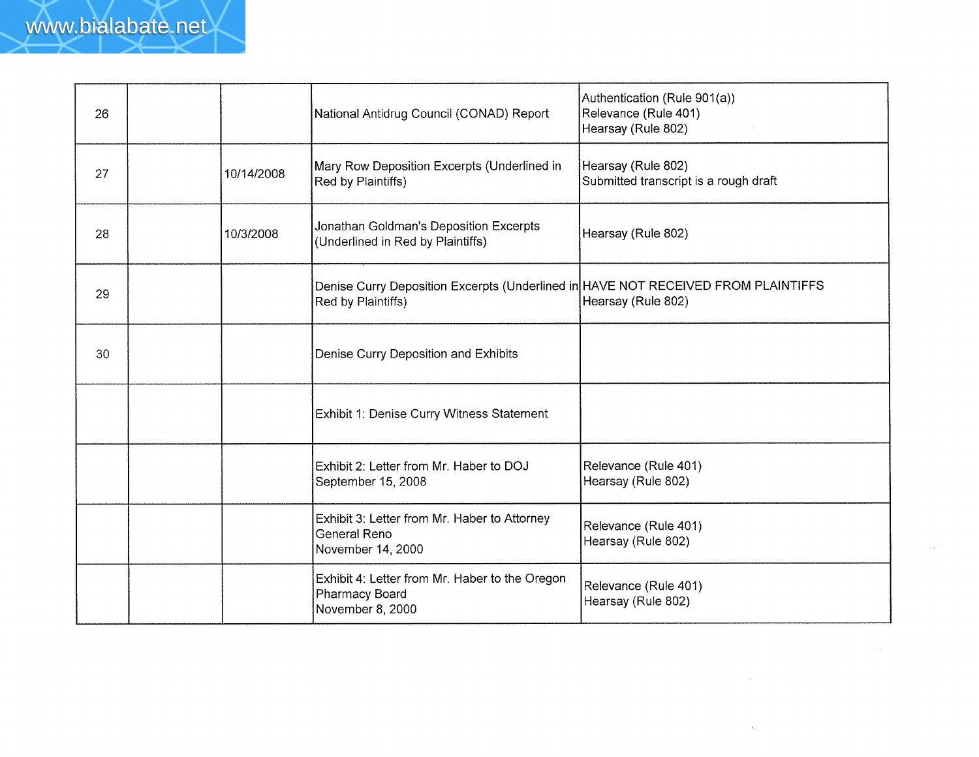| 26 |            | National Antidrug Council (CONAD) Report                                                                | Authentication (Rule 901(a))<br>Relevance (Rule 401)<br>Hearsay (Rule 802) |
|----|------------|---------------------------------------------------------------------------------------------------------|----------------------------------------------------------------------------|
| 27 | 10/14/2008 | Mary Row Deposition Excerpts (Underlined in<br>Red by Plaintiffs)                                       | Hearsay (Rule 802)<br>Submitted transcript is a rough draft                |
| 28 | 10/3/2008  | Jonathan Goldman's Deposition Excerpts<br>(Underlined in Red by Plaintiffs)                             | Hearsay (Rule 802)                                                         |
| 29 |            | Denise Curry Deposition Excerpts (Underlined in HAVE NOT RECEIVED FROM PLAINTIFFS<br>Red by Plaintiffs) | Hearsay (Rule 802)                                                         |
| 30 |            | Denise Curry Deposition and Exhibits                                                                    |                                                                            |
|    |            | Exhibit 1: Denise Curry Witness Statement                                                               |                                                                            |
|    |            | Exhibit 2: Letter from Mr. Haber to DOJ<br>September 15, 2008                                           | Relevance (Rule 401)<br>Hearsay (Rule 802)                                 |
|    |            | Exhibit 3: Letter from Mr. Haber to Attorney<br><b>General Reno</b><br>November 14, 2000                | Relevance (Rule 401)<br>Hearsay (Rule 802)                                 |
|    |            | Exhibit 4: Letter from Mr. Haber to the Oregon<br>Pharmacy Board<br>November 8, 2000                    | Relevance (Rule 401)<br>Hearsay (Rule 802)                                 |

 $\mathcal{L}^{\pm}$ 

 $\ddot{\phantom{a}}$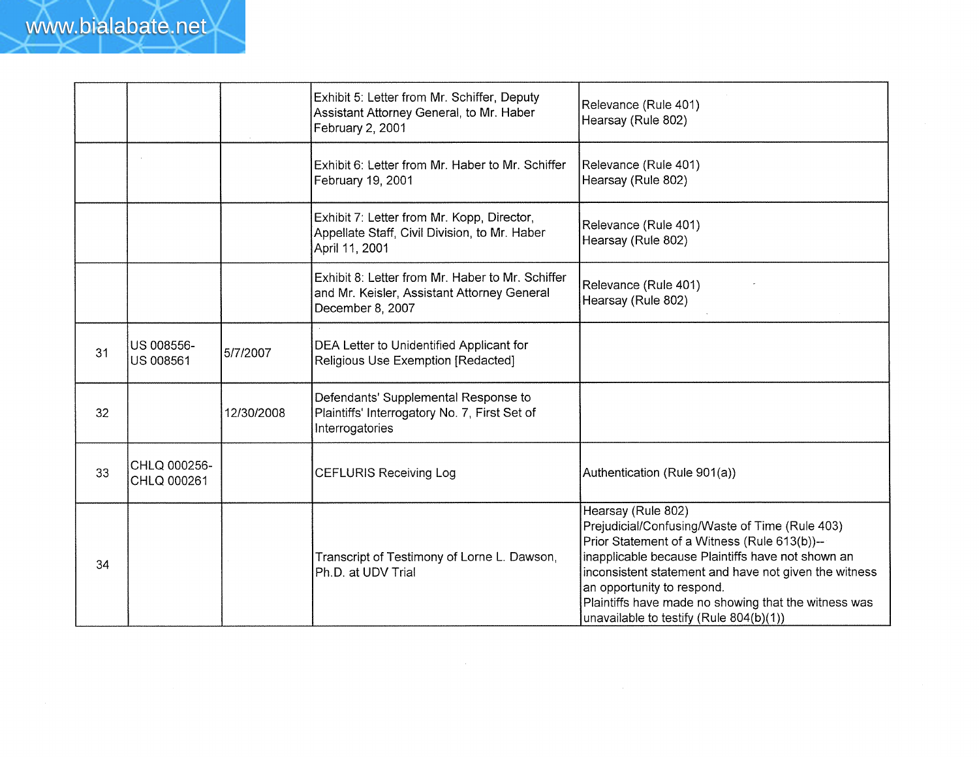|    |                             |            | Exhibit 5: Letter from Mr. Schiffer, Deputy<br>Assistant Attorney General, to Mr. Haber<br>February 2, 2001         | Relevance (Rule 401)<br>Hearsay (Rule 802)                                                                                                                                                                                                                                                                                                                          |
|----|-----------------------------|------------|---------------------------------------------------------------------------------------------------------------------|---------------------------------------------------------------------------------------------------------------------------------------------------------------------------------------------------------------------------------------------------------------------------------------------------------------------------------------------------------------------|
|    |                             |            | Exhibit 6: Letter from Mr. Haber to Mr. Schiffer<br>February 19, 2001                                               | Relevance (Rule 401)<br>Hearsay (Rule 802)                                                                                                                                                                                                                                                                                                                          |
|    |                             |            | Exhibit 7: Letter from Mr. Kopp, Director,<br>Appellate Staff, Civil Division, to Mr. Haber<br>April 11, 2001       | Relevance (Rule 401)<br>Hearsay (Rule 802)                                                                                                                                                                                                                                                                                                                          |
|    |                             |            | Exhibit 8: Letter from Mr. Haber to Mr. Schiffer<br>and Mr. Keisler, Assistant Attorney General<br>December 8, 2007 | Relevance (Rule 401)<br>Hearsay (Rule 802)                                                                                                                                                                                                                                                                                                                          |
| 31 | US 008556-<br>US 008561     | 5/7/2007   | DEA Letter to Unidentified Applicant for<br>Religious Use Exemption [Redacted]                                      |                                                                                                                                                                                                                                                                                                                                                                     |
| 32 |                             | 12/30/2008 | Defendants' Supplemental Response to<br>Plaintiffs' Interrogatory No. 7, First Set of<br>Interrogatories            |                                                                                                                                                                                                                                                                                                                                                                     |
| 33 | CHLQ 000256-<br>CHLQ 000261 |            | <b>CEFLURIS Receiving Log</b>                                                                                       | Authentication (Rule 901(a))                                                                                                                                                                                                                                                                                                                                        |
| 34 |                             |            | Transcript of Testimony of Lorne L. Dawson,<br>Ph.D. at UDV Trial                                                   | Hearsay (Rule 802)<br>Prejudicial/Confusing/Waste of Time (Rule 403)<br>Prior Statement of a Witness (Rule 613(b))--<br>inapplicable because Plaintiffs have not shown an<br>inconsistent statement and have not given the witness<br>an opportunity to respond.<br>Plaintiffs have made no showing that the witness was<br>unavailable to testify (Rule 804(b)(1)) |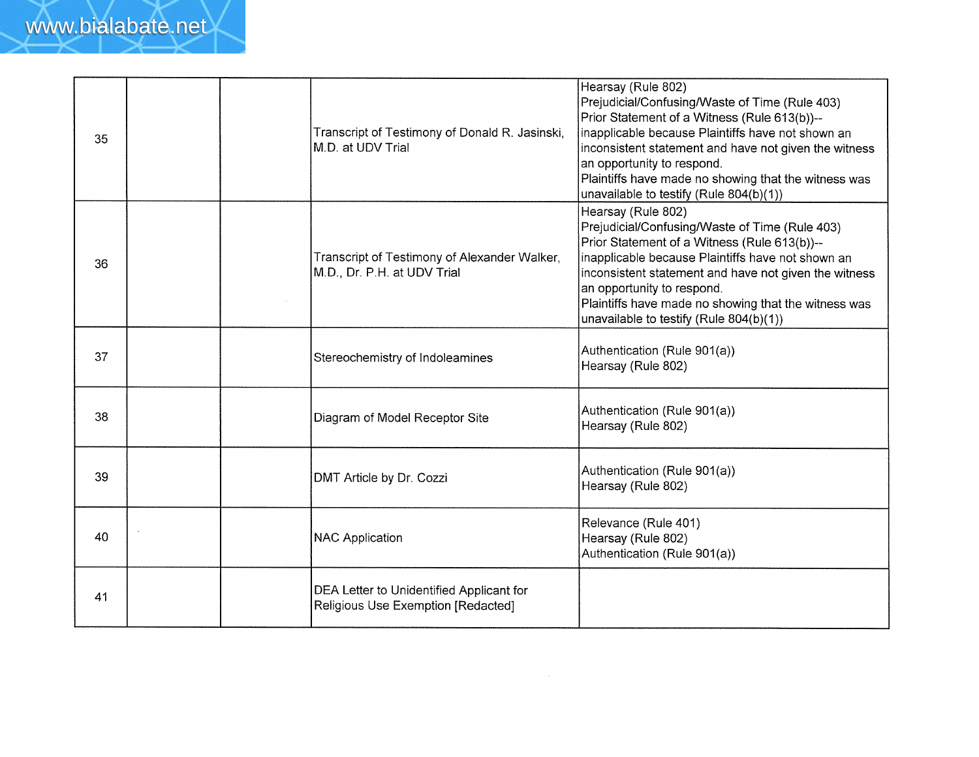| 35 | Transcript of Testimony of Donald R. Jasinski,<br>M.D. at UDV Trial            | Hearsay (Rule 802)<br>Prejudicial/Confusing/Waste of Time (Rule 403)<br>Prior Statement of a Witness (Rule 613(b))--<br>inapplicable because Plaintiffs have not shown an<br>inconsistent statement and have not given the witness<br>an opportunity to respond.<br>Plaintiffs have made no showing that the witness was<br>unavailable to testify (Rule 804(b)(1)) |
|----|--------------------------------------------------------------------------------|---------------------------------------------------------------------------------------------------------------------------------------------------------------------------------------------------------------------------------------------------------------------------------------------------------------------------------------------------------------------|
| 36 | Transcript of Testimony of Alexander Walker,<br>M.D., Dr. P.H. at UDV Trial    | Hearsay (Rule 802)<br>Prejudicial/Confusing/Waste of Time (Rule 403)<br>Prior Statement of a Witness (Rule 613(b))--<br>inapplicable because Plaintiffs have not shown an<br>inconsistent statement and have not given the witness<br>an opportunity to respond.<br>Plaintiffs have made no showing that the witness was<br>unavailable to testify (Rule 804(b)(1)) |
| 37 | Stereochemistry of Indoleamines                                                | Authentication (Rule 901(a))<br>Hearsay (Rule 802)                                                                                                                                                                                                                                                                                                                  |
| 38 | Diagram of Model Receptor Site                                                 | Authentication (Rule 901(a))<br>Hearsay (Rule 802)                                                                                                                                                                                                                                                                                                                  |
| 39 | DMT Article by Dr. Cozzi                                                       | Authentication (Rule 901(a))<br>Hearsay (Rule 802)                                                                                                                                                                                                                                                                                                                  |
| 40 | <b>NAC Application</b>                                                         | Relevance (Rule 401)<br>Hearsay (Rule 802)<br>Authentication (Rule 901(a))                                                                                                                                                                                                                                                                                          |
| 41 | DEA Letter to Unidentified Applicant for<br>Religious Use Exemption [Redacted] |                                                                                                                                                                                                                                                                                                                                                                     |